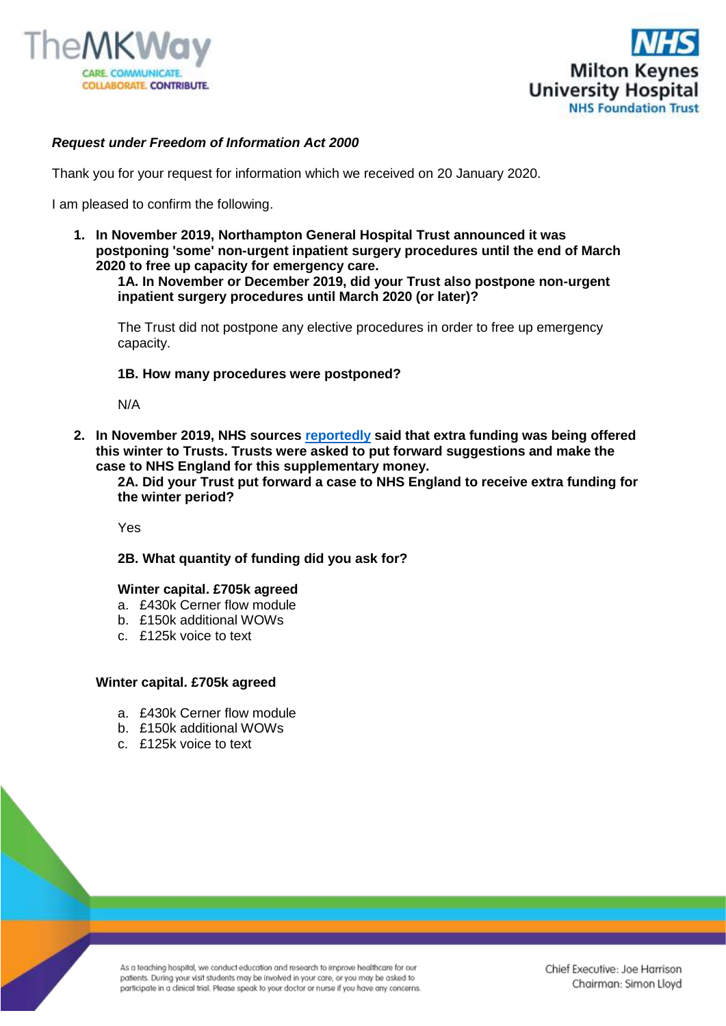



# *Request under Freedom of Information Act 2000*

Thank you for your request for information which we received on 20 January 2020.

I am pleased to confirm the following.

**1. In November 2019, Northampton General Hospital Trust announced it was postponing 'some' non-urgent inpatient surgery procedures until the end of March 2020 to free up capacity for emergency care.**

**1A. In November or December 2019, did your Trust also postpone non-urgent inpatient surgery procedures until March 2020 (or later)?**

The Trust did not postpone any elective procedures in order to free up emergency capacity.

### **1B. How many procedures were postponed?**

N/A

**2. In November 2019, NHS sources [reportedly](https://gbr01.safelinks.protection.outlook.com/?url=https%3A%2F%2Fwww.hsj.co.uk%2Fquality-and-performance%2Ftrust-takes-drastic-step-to-cancel-electives-over-winter%2F7026409.article&data=02%7C01%7Cfoi.publicationschemeco-ordinator%40mkuh.nhs.uk%7Caec3cd2809a742957ec208d79db294e7%7Ce96dd0a15d474a949e4a5c1056daa82c%7C0%7C0%7C637151263727548475&sdata=qPs%2FHG7ptTZO9OZu8Eq%2F4WxsqzEer7DsIyBZxjMAd7Q%3D&reserved=0) said that extra funding was being offered this winter to Trusts. Trusts were asked to put forward suggestions and make the case to NHS England for this supplementary money.**

**2A. Did your Trust put forward a case to NHS England to receive extra funding for the winter period?** 

Yes

### **2B. What quantity of funding did you ask for?**

### **Winter capital. £705k agreed**

- a. £430k Cerner flow module
- b. £150k additional WOWs
- c. £125k voice to text

#### **Winter capital. £705k agreed**

- a. £430k Cerner flow module
- b. £150k additional WOWs
- c. £125k voice to text

As a teaching hospital, we conduct education and research to improve healthcare for our patients. During your visit students may be involved in your care, or you may be asked to participate in a clinical trial. Please speak to your doctor or nurse if you have any concerns.